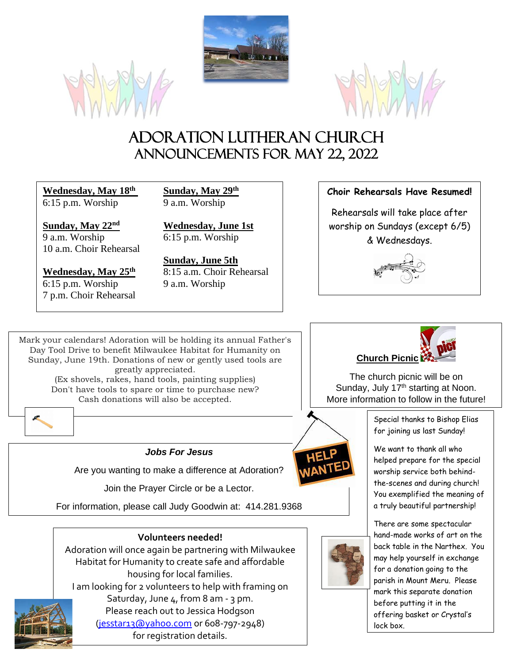





# Adoration Lutheran Church Announcements For May 22, 2022

**Wednesday, May 18th Sunday, May 29th** 6:15 p.m. Worship 9 a.m. Worship

**Sunday, May 22nd Wednesday, June 1st** 9 a.m. Worship 6:15 p.m. Worship 10 a.m. Choir Rehearsal

6:15 p.m. Worship 9 a.m. Worship 7 p.m. Choir Rehearsal

**Sunday, June 5th Wednesday, May 25<sup>th</sup>** 8:15 a.m. Choir Rehearsal

#### **Choir Rehearsals Have Resumed!**

Rehearsals will take place after worship on Sundays (except 6/5) & Wednesdays.



Mark your calendars! Adoration will be holding its annual Father's Day Tool Drive to benefit Milwaukee Habitat for Humanity on Sunday, June 19th. Donations of new or gently used tools are greatly appreciated. (Ex shovels, rakes, hand tools, painting supplies) Don't have tools to spare or time to purchase new? Cash donations will also be accepted.



#### *Jobs For Jesus*

Are you wanting to make a difference at Adoration?

Join the Prayer Circle or be a Lector.

For information, please call Judy Goodwin at: 414.281.9368

#### **Volunteers needed!**

Adoration will once again be partnering with Milwaukee Habitat for Humanity to create safe and affordable housing for local families.

I am looking for 2 volunteers to help with framing on Saturday, June 4, from 8 am - 3 pm.



Please reach out to Jessica Hodgson [\(jesstar13@yahoo.com](mailto:jesstar13@yahoo.com) or 608-797-2948) for registration details.



The church picnic will be on Sunday, July 17<sup>th</sup> starting at Noon. More information to follow in the future!

> Special thanks to Bishop Elias for joining us last Sunday!

We want to thank all who helped prepare for the special worship service both behindthe-scenes and during church! You exemplified the meaning of a truly beautiful partnership!



There are some spectacular hand-made works of art on the back table in the Narthex. You may help yourself in exchange for a donation going to the parish in Mount Meru. Please mark this separate donation before putting it in the offering basket or Crystal's lock box.